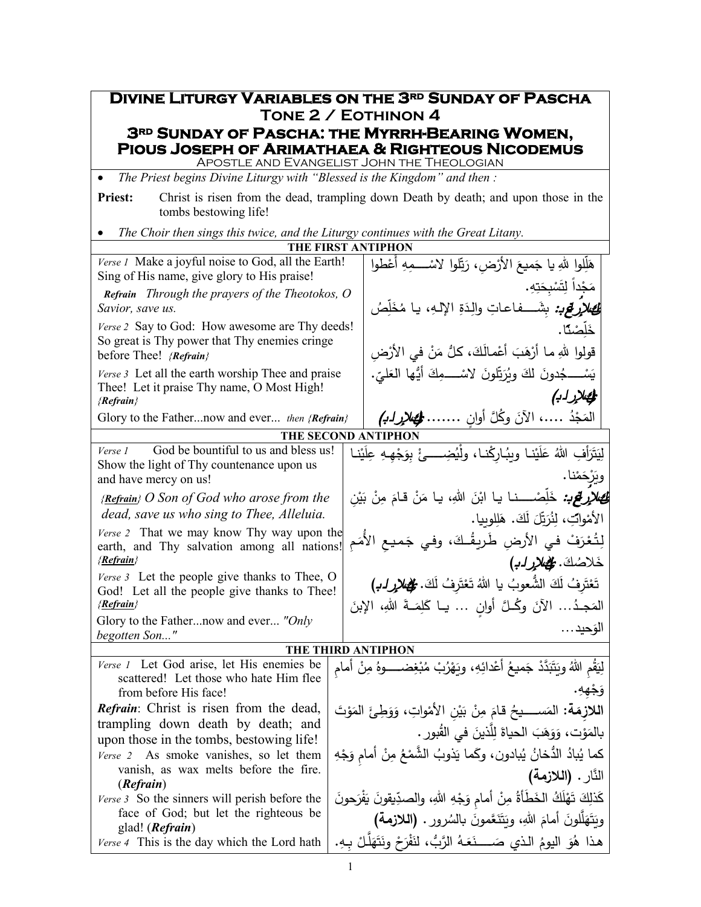**Divine Liturgy Variables on the 3rd Sunday of Pascha Tone 2 / Eothinon 4 3RD SUNDAY OF PASCHA: THE MYRRH-BEARING WOMEN,<br>PIOUS JOSEPH OF ARIMATHAEA & RIGHTEOUS NICODEMUS**<br>APOSTLE AND EVANGELIST JOHN THE THEOLOGIAN • *The Priest begins Divine Liturgy with "Blessed is the Kingdom" and then :* **Priest:** Christ is risen from the dead, trampling down Death by death; and upon those in the tombs bestowing life! • *The Choir then sings this twice, and the Liturgy continues with the Great Litany.* **THE FIRST ANTIPHON** *Verse 1* Make a joyful noise to God, all the Earth! Sing of His name, give glory to His praise! *Refrain Through the prayers of the Theotokos, O Savior, save us. Verse 2* Say to God: How awesome are Thy deeds! So great is Thy power that Thy enemies cringe before Thee! *{Refrain} Verse 3* Let all the earth worship Thee and praise Thee! Let it praise Thy name, O Most High! *{Refrain}* Glory to the Father...now and ever... *then {Refrain}* هَلِّلوا لِلهِ يا جَميعَ الأَرْضِ، رَبِّلوا لاسْــــمِهِ أَعْطوا َ .ِ ِه ت َنَجْداً لِتَسْبِحَ<br>م بِحَا ْ ِت م لِمَ*عِلالٍ قي: بِشَـــفاع*اتِ والِدَةِ الإلـهِ، يا مُخَلِّصُ <u>ٍ</u> صْنًا.<br>. ڵ ل <u>َيْل</u> خ <u>ّ</u> قولوا للهِ مـا أرْهَبَ أَعْمـالَكَ، كلُّ مَنْ في الأَرْضِ<br>-يَسْـــــجُدونَ لكَ ويُرَبِّلونَ لاسْـــــمِكَ أَيُّها العَليِّ.<br>منذ من (ئكلإرل ب) المَجْدُ .....، الآنَ وكُلَّ أُوانٍ ........ هِجُلارِ لـُهُمْ<br>مستقدمة **THE SECOND ANTIPHON** *Verse 1* God be bountiful to us and bless us! Show the light of Thy countenance upon us and have mercy on us! *{Refrain} O Son of God who arose from the dead, save us who sing to Thee, Alleluia. Verse 2* That we may know Thy way upon the earth, and Thy salvation among all nations! *{Refrain} Verse 3* Let the people give thanks to Thee, O God! Let all the people give thanks to Thee! *{Refrain}* Glory to the Father...now and ever... *"Only begotten Son..."* لِیَتَزَأفِ اللّٰهُ عَلَیْنا ویِبُارِکْنا، ولْیُضِـــئْ بِوَجْهِهِ عِلَیْنا َ َيْرْحَمْنا.<br>\* و� ُ ئكلإر ِ لغ <sup>ب</sup>: َ الله ْن ِصـــــــــــــ ْ نــا �ــا اب ل ْ خ ، ِن َّ ی َ ْ ب ِن َ م ْ قــام َن �ــا م الأمْوابِّ، لِنُرَ<u>تِّلَ</u> لَكَ. هَلِلوبِيا.<br>' لِتُعْرَفْ في الأرضِ طَريقُـكَ، وفي جَميعِ الأُمَمِ خَلاصُكَ. <del>كُل</del>ْهُلارِ ل*ـب*)<br>م تَعْتَرِفُ لَكَ الشَّعوبُ يا اللهُ تَعْتَرِفُ لَكَ. <del>ݣ</del>ْه*لإرا*ب<sub>ُ</sub>) .<br>أ ْ ْ َ المَجدُ... الآنَ وكُــلَّ أُوانٍ ... يــا كَلِمَــةَ اللهِ، الإِبنَ ال وحید... َ **THE THIRD ANTIPHON** *Verse 1* Let God arise, let His enemies be scattered! Let those who hate Him flee from before His face! *Refrain*: Christ is risen from the dead, trampling down death by death; and upon those in the tombs, bestowing life! *Verse 2* As smoke vanishes, so let them vanish, as wax melts before the fire. (*Refrain*) *Verse 3* So the sinners will perish before the face of God; but let the righteous be glad! (*Refrain*) *Verse 4* This is the day which the Lord hath لِيَقُمِ اللّهُ ويَتَبَدَّدْ جَميعُ أعْدائِهِ، ويَهْزُبْ مُبْغِضـــــوهُ مِنْ أمامِ <u>َ</u> .ِ ِهه **:** وَ**ج**ُ و **اللازِمَة:** المَســــيحُ قـامَ مِنْ بَيْنِ الأَمْواتِ، وَوَطِئَ المَوْتَ<br>العلاي ْ بالمَوْت، وَوَهَبَ الحياةَ لِلَّذينَ في القُبورِ .<br>. كما يُبادُ الدُّخانُ يُبادون، وكَما يَذوبُ الشَّمْعُ مِنْ أمامِ وَجْهِ<br>مَمَّا يُبادُ الدُّخانُ يُبادون، وكَما يَذوبُ الشَّمْعُ مِنْ أمامِ وَجْهِ َّ النار. **(اللازمة)**  َ كَذلِكَ تَهْلَكُ الخَطَأَةُ مِنْ أمامِ وَجْهِ اللهِ، والصدِّيقونَ يَفْرَحونَ<br>مَذَلِّذَ ْ ِ َ الله َ أمام َّلون ل َه ت ُ و� ، َ َ �الس َ َّعمون َن ت و� رور. **(اللازمة)** َ َ هذا هُوَ اليومُ الذي صَــــنَعَـهُ الرَّبُّ، لنَفْرَحْ ونَتَهَلَّـلْ بِـهِ.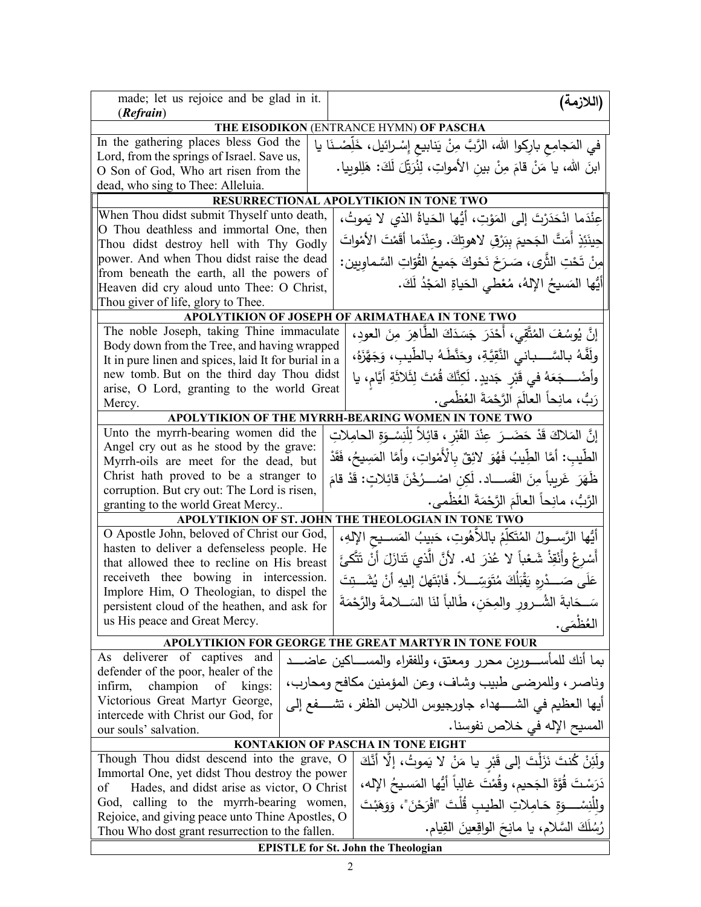| (Refrain)<br>THE EISODIKON (ENTRANCE HYMN) OF PASCHA<br>In the gathering places bless God the<br>في المَجامِع بارِكوا الله، الرَّبَّ مِنْ يَنابِيعِ إِسْـرائيل، خَلِّصْـنَا يا<br>Lord, from the springs of Israel. Save us,<br>ابنَ الله، يا مَنْ قامَ مِنْ بينِ الأمواتِ، لِنُرَبِّلَ لَكَ: هَلِلوبِيا.<br>O Son of God, Who art risen from the<br>dead, who sing to Thee: Alleluia.<br><b>RESURRECTIONAL APOLYTIKION IN TONE TWO</b><br>When Thou didst submit Thyself unto death,<br> عِنْدَما انْحَدَرْتَ إلى المَوْتِ، أَيُّها الحَياةُ الذي لا يَموتُ، |  |  |  |
|---------------------------------------------------------------------------------------------------------------------------------------------------------------------------------------------------------------------------------------------------------------------------------------------------------------------------------------------------------------------------------------------------------------------------------------------------------------------------------------------------------------------------------------------------------------|--|--|--|
|                                                                                                                                                                                                                                                                                                                                                                                                                                                                                                                                                               |  |  |  |
|                                                                                                                                                                                                                                                                                                                                                                                                                                                                                                                                                               |  |  |  |
|                                                                                                                                                                                                                                                                                                                                                                                                                                                                                                                                                               |  |  |  |
|                                                                                                                                                                                                                                                                                                                                                                                                                                                                                                                                                               |  |  |  |
|                                                                                                                                                                                                                                                                                                                                                                                                                                                                                                                                                               |  |  |  |
|                                                                                                                                                                                                                                                                                                                                                                                                                                                                                                                                                               |  |  |  |
|                                                                                                                                                                                                                                                                                                                                                                                                                                                                                                                                                               |  |  |  |
| O Thou deathless and immortal One, then                                                                                                                                                                                                                                                                                                                                                                                                                                                                                                                       |  |  |  |
| حِينَئِذٍ أَمَتَّ الْجَحيمَ بِبَرْقِ لاهوتِكَ. وعِنْدَما أَقَمْتَ الأَمْواتَ<br>Thou didst destroy hell with Thy Godly                                                                                                                                                                                                                                                                                                                                                                                                                                        |  |  |  |
| power. And when Thou didst raise the dead<br>مِنْ تَحْتِ الثَّرى، صَـرَخَ نَحْوكَ جَميعُ القُوّاتِ السَّـماوِيين:                                                                                                                                                                                                                                                                                                                                                                                                                                             |  |  |  |
| from beneath the earth, all the powers of                                                                                                                                                                                                                                                                                                                                                                                                                                                                                                                     |  |  |  |
| أَيُّها المَسيحُ الإِلهُ، مُعْطى الحَياةِ المَجْدُ لَكَ.<br>Heaven did cry aloud unto Thee: O Christ,                                                                                                                                                                                                                                                                                                                                                                                                                                                         |  |  |  |
| Thou giver of life, glory to Thee.                                                                                                                                                                                                                                                                                                                                                                                                                                                                                                                            |  |  |  |
| APOLYTIKION OF JOSEPH OF ARIMATHAEA IN TONE TWO                                                                                                                                                                                                                                                                                                                                                                                                                                                                                                               |  |  |  |
| The noble Joseph, taking Thine immaculate<br>إِنَّ يُوسُفَ المُتَّقِى، أَحْدَرَ جَسَدَكَ الطَّاهِرَ مِنَ العود،                                                                                                                                                                                                                                                                                                                                                                                                                                               |  |  |  |
| Body down from the Tree, and having wrapped<br>ولَفَّهُ بـالسَّــــبـانـى النَّقِيَّةِ، وحَنَّطَـهُ بـالطَّيبِ، وَجَهَّزَهُ،<br>It in pure linen and spices, laid It for burial in a                                                                                                                                                                                                                                                                                                                                                                          |  |  |  |
| new tomb. But on the third day Thou didst<br>وأضْـــــجَعَهُ في قَبْرٍ جَديدٍ. لَكِنَّكَ قُمْتَ لِثَلاثَةِ أَيَّامٍ، يا                                                                                                                                                                                                                                                                                                                                                                                                                                       |  |  |  |
| arise, O Lord, granting to the world Great<br>رَبُّ، مانِحاً العالَمَ الرَّحْمَةَ العُظْمي.<br>Mercy.                                                                                                                                                                                                                                                                                                                                                                                                                                                         |  |  |  |
| APOLYTIKION OF THE MYRRH-BEARING WOMEN IN TONE TWO                                                                                                                                                                                                                                                                                                                                                                                                                                                                                                            |  |  |  |
| Unto the myrrh-bearing women did the<br>إِنَّ المَلاكَ قَدْ حَضَــرَ عِنْدَ القَبْرِ ، قائِلاً لِلَّنِسْـوَةِ الحامِلاتِ                                                                                                                                                                                                                                                                                                                                                                                                                                      |  |  |  |
| Angel cry out as he stood by the grave:                                                                                                                                                                                                                                                                                                                                                                                                                                                                                                                       |  |  |  |
| الطَّيبِ: أمَّا الطِّيبُ فَهُوَ لائِقٌ بالْأَمْواتِ، وأمَّا المَسِيحُ، فَقَدْ<br>Myrrh-oils are meet for the dead, but                                                                                                                                                                                                                                                                                                                                                                                                                                        |  |  |  |
| Christ hath proved to be a stranger to<br>ظَهَرَ غَرِيباً مِنَ الفَســــاد. لَكِن اصْــــرُخْنَ قائِلاتٍ: قَدْ قامَ                                                                                                                                                                                                                                                                                                                                                                                                                                           |  |  |  |
| corruption. But cry out: The Lord is risen,                                                                                                                                                                                                                                                                                                                                                                                                                                                                                                                   |  |  |  |
| الرَّبُّ، مانِحاً العالَمَ الرَّحْمَةَ العُظْمي.<br>granting to the world Great Mercy                                                                                                                                                                                                                                                                                                                                                                                                                                                                         |  |  |  |
| APOLYTIKION OF ST. JOHN THE THEOLOGIAN IN TONE TWO                                                                                                                                                                                                                                                                                                                                                                                                                                                                                                            |  |  |  |
| O Apostle John, beloved of Christ our God,<br>أَيُّها الرَّســولُ المُتَكَلِّمُ باللَّاهُوتِ، حَبيبُ المَســيحِ الإِلهِ،                                                                                                                                                                                                                                                                                                                                                                                                                                      |  |  |  |
| hasten to deliver a defenseless people. He<br>أَسْرِعْ وأَنْقِذْ شَعْباً لا عُذرَ له. لأنَّ الَّذي تَنازَلَ أنْ تَتَّكئَ<br>that allowed thee to recline on His breast                                                                                                                                                                                                                                                                                                                                                                                        |  |  |  |
| receiveth thee bowing in intercession.<br>عَلَى صَـــدْرِهِ يَقْبَلُكَ مُتَوَسِّـــلاً. فَابْتَهلْ إِليهِ أَنْ يُشَـــتِتَ                                                                                                                                                                                                                                                                                                                                                                                                                                    |  |  |  |
| Implore Him, O Theologian, to dispel the                                                                                                                                                                                                                                                                                                                                                                                                                                                                                                                      |  |  |  |
| سَــحَابةَ الشُـــرورِ والمِحَنِ، طَالباً لنَا السَـــلامةَ والرَّحْمَةَ<br>persistent cloud of the heathen, and ask for<br>us His peace and Great Mercy.                                                                                                                                                                                                                                                                                                                                                                                                     |  |  |  |
| العُظْمَى.                                                                                                                                                                                                                                                                                                                                                                                                                                                                                                                                                    |  |  |  |
| APOLYTIKION FOR GEORGE THE GREAT MARTYR IN TONE FOUR                                                                                                                                                                                                                                                                                                                                                                                                                                                                                                          |  |  |  |
| As deliverer of captives<br>and<br>بما أنك للمأســــورين محرر ومعتق، وللفقراء والمســــاكين عاضــــد                                                                                                                                                                                                                                                                                                                                                                                                                                                          |  |  |  |
| defender of the poor, healer of the<br>وناصر ، وللمرضى طبيب وشاف، وعن المؤمنين مكافح ومحارب،<br>champion<br>infirm,<br>of kings:                                                                                                                                                                                                                                                                                                                                                                                                                              |  |  |  |
| Victorious Great Martyr George,<br>أيها العظيم في الشــــهداء جاورجيوس اللابس الظفر ، تشــــفع إلى                                                                                                                                                                                                                                                                                                                                                                                                                                                            |  |  |  |
| intercede with Christ our God, for<br>المسيح الإله في خلاص نفوسنا.<br>our souls' salvation.                                                                                                                                                                                                                                                                                                                                                                                                                                                                   |  |  |  |
| KONTAKION OF PASCHA IN TONE EIGHT                                                                                                                                                                                                                                                                                                                                                                                                                                                                                                                             |  |  |  |
| Though Thou didst descend into the grave, O<br>ولَٰئِنْ كُنتَ نَزَلْتَ إِلَى قَبْرٍ يا مَنْ لا يَموتُ، إِلَّا أَنَّكَ                                                                                                                                                                                                                                                                                                                                                                                                                                         |  |  |  |
| Immortal One, yet didst Thou destroy the power                                                                                                                                                                                                                                                                                                                                                                                                                                                                                                                |  |  |  |
| دَرَسْتَ قُوَّةَ الجَحيمِ، وقُمْتَ غالِباً أيُّها المَسيحُ الإله،<br>of<br>Hades, and didst arise as victor, O Christ                                                                                                                                                                                                                                                                                                                                                                                                                                         |  |  |  |
| God, calling to the myrrh-bearing women,<br>ولِلْنِسْــــوَةِ حَـامِلاتِ الطيبِ قُلْتَ "افْرَحْنَ"، وَوَهَبْتَ                                                                                                                                                                                                                                                                                                                                                                                                                                                |  |  |  |
| Rejoice, and giving peace unto Thine Apostles, O<br>رُسُلَكَ السَّلامِ، يا مانِحَ الواقِعينَ القِيامِ.<br>Thou Who dost grant resurrection to the fallen.                                                                                                                                                                                                                                                                                                                                                                                                     |  |  |  |
| <b>EPISTLE for St. John the Theologian</b>                                                                                                                                                                                                                                                                                                                                                                                                                                                                                                                    |  |  |  |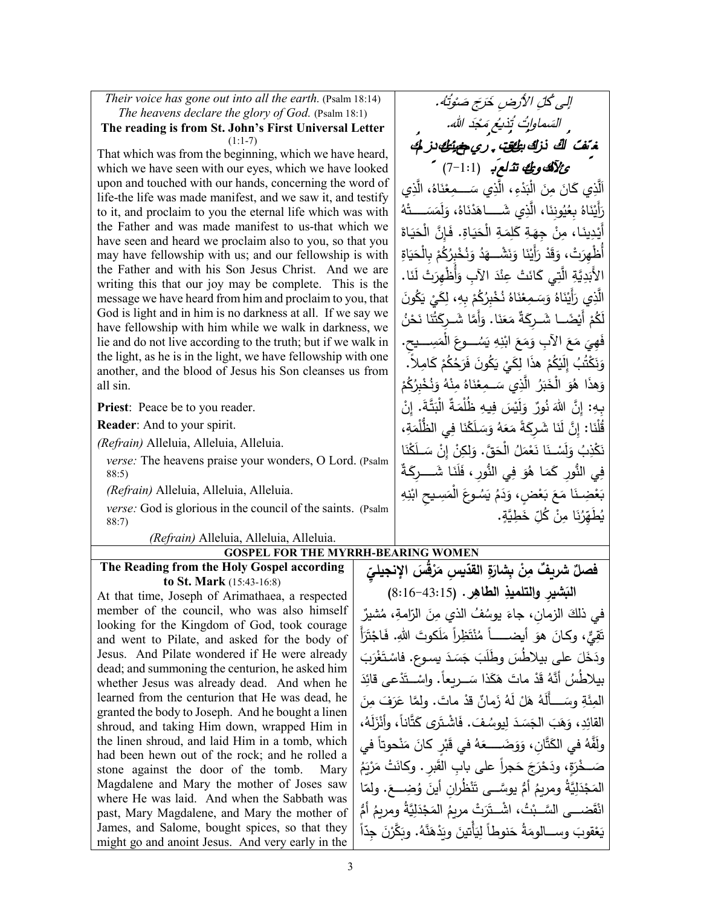*Their voice has gone out into all the earth.* (Psalm 18:14) *The heavens declare the glory of God.* (Psalm 18:1)

**The reading is from St. John's First Universal Letter** (1:1-7)

That which was from the beginning, which we have heard, which we have seen with our eyes, which we have looked upon and touched with our hands, concerning the word of life-the life was made manifest, and we saw it, and testify to it, and proclaim to you the eternal life which was with the Father and was made manifest to us-that which we have seen and heard we proclaim also to you, so that you may have fellowship with us; and our fellowship is with the Father and with his Son Jesus Christ. And we are writing this that our joy may be complete. This is the message we have heard from him and proclaim to you, that God is light and in him is no darkness at all. If we say we have fellowship with him while we walk in darkness, we lie and do not live according to the truth; but if we walk in the light, as he is in the light, we have fellowship with one another, and the blood of Jesus his Son cleanses us from all sin.

**Priest**: Peace be to you reader.

**Reader**: And to your spirit.

*(Refrain)* Alleluia, Alleluia, Alleluia.

*verse:* The heavens praise your wonders, O Lord. (Psalm 88:5)

*(Refrain)* Alleluia, Alleluia, Alleluia.

*verse:* God is glorious in the council of the saints.(Psalm 88:7)

*(Refrain)* Alleluia, Alleluia, Alleluia.

## **GOSPEL FOR THE MYRRH-BEARING WOMEN**

**The Reading from the Holy Gospel according to St. Mark** (15:43-16:8)

At that time, Joseph of Arimathaea, a respected member of the council, who was also himself looking for the Kingdom of God, took courage and went to Pilate, and asked for the body of Jesus. And Pilate wondered if He were already dead; and summoning the centurion, he asked him whether Jesus was already dead. And when he learned from the centurion that He was dead, he granted the body to Joseph. And he bought a linen shroud, and taking Him down, wrapped Him in the linen shroud, and laid Him in a tomb, which had been hewn out of the rock; and he rolled a stone against the door of the tomb. Mary Magdalene and Mary the mother of Joses saw where He was laid. And when the Sabbath was past, Mary Magdalene, and Mary the mother of James, and Salome, bought spices, so that they might go and anoint Jesus. And very early in the

إلى كُلِّ الأَرضِ خَرَجَ صَوْتُهُ. السَماواتُ تُذيعُ مَجْدَ الله. .<br>غرّف كُ لَّكَ نزكَ ب<del>كُفَّ</del> ، ر*ي <del>م</del>ضيَّطُ لذ*كُ ئلآهكو ئك تئ لعب (7-1:1) اَلَّذِي كَانَ مِنَ الْبَدْءِ، الَّذِي سَـــمِعْنَاهُ، الَّذِي ْ رَأَيْنَاهُ بِعُيُونِنَا، الَّذِي شَـــاهَدْنَاهُ، وَلَمَسَـــتُهُ<br>أ ُما<br>و **ٔ** أَيْدِينَا، مِنْ جِهَةِ كَلِمَةِ الْحَيَاةِ. فَإِنَّ الْحَيَاةَ<br>أَيْسِينَا، مِنْ جِهَةِ كَلِمَةِ الْحَيَاةِ. أُظْهِرَتْ، وَقَدْ رَأَيْنَا وَنَشْــهَدُ وَنُخْبِرُكُمْ بِالْحَيَاةِ<br>أَظْهِرَتْ، وَقَدْ رَأَيْنَا وَنَشْــهَد **ّ** الأَبَدِيَّةِ الَّتِي كَانَتْ عِنْدَ الآبِ وَأُظْهِرَتْ لَنَا.<br>ا الَّذِي رَأَيْنَاهُ وَسَمِعْنَاهُ نُخْبِرُكُمْ بِهِ، لِكَيْ يَكُونَ<br>نَهُ فَصَلَّمَ اللَّهُ عَسَّلَّهُ الْمَالِمَةِ مِنْ الْمَالِمَةِ الْمَالَ ْ **ٔ** لَّكُمْ أَيْضًـــا شَــرِكَةً مَعَنَا. وَأَمَّا شَــرٍكَثْنَا نَحْنُ فَهِيَ مَعَ الآبِ وَمَعَ ابْنِهِ يَسُـــوعَ الْمَسِــــيحِ.<br>مَعْمُد يَنْفُسُ عَدْنَ مِنْ مَسْتُمْتَ فَيَدْنُ مَثَلَّمَ ْ وَنَكْتُبُ إِلَيْكُمْ هذَا لِكَيْ يَكُونَ فَرَحُكُمْ كَامِلاً.<br>وَأَشْرَاءُ الْمَسْرَةُ وَلَا يَسْرَ مَثَلاً وَلَا يَسْرُونَ فَرَحُكُمْ لَا يَسُرُّ. َ وَهذَا هُوَ الْخَبَرُ الَّذِي سَـمِعْنَاهُ مِنْهُ وَنُخْبِرُكُمْ َ ْ <u>ّ</u> بِهِ: إِنَّ اللَّهَ نُورٌ ۖ وَلَيْسَ فِيهِ ظُلْمَةٌ الْبَتَّةَ. إِنْ<br>وَفِي اللَّهَ نُورٌ وَلَيْسَ فِيهِ ظُلْمَةٌ الْبَتَّةَ. إِنْ قُلْنَا: إِنَّ لَنَا شَرِكَةً مَعَهُ وَسَلَكْنَا فِي الظُّلْمَةِ،<br>-َا ْن َك ْ ســـــ َ <sup>ل</sup> ِن ْ إ ِن َ لك َ َّق. و ُ ْ الح َل ْم َع َا ن َســـــ ْ ن ل َ ُ و ِب ْذ َك ن فِي النُّورِ كَمَا هُوَ فِي النُّورِ ، فَلَنَا شَـــــرِكَةٌ بَعْضِنَا مَعَ بَعْضٍ، وَدَمُ يَسُوعَ الْمَسِيعِ ابْنِهِ<br>وَيَسَمَدُ الله ْ يُط*َّـهِّرُ*نَا مِنْ كُلِّ خَطِيَّةٍ.<br>\*

**ِ ّ ْ ُق َس الإنجیلي َر ّ ِ �س م ِة القد َ ْن ِ �شار ِ ٌ ٌ شر�ف م فصل ِر ِ الطاه ال� . (**8:16-43:15**) َ ِشیر والتلمیذ** في ذلك الزمانِ، جاءَ يوسُفُ الذي مِنَ الزّلمةِ، مُشيرٌ<br>ِ َّقِيٌّ، وكانَ هوَ أيضــــــاً مُنْتَظِراً مَلَكوتَ اللهِ. فَاجْتَرَأَ ֺ**ֺ** ودَخَلَ على بيلاطسَ وطلبَ جَسَدَ يسوع. فاسْتَغْرَبَ<br>مُرْسِيقَةٍ مِنْ َ ِد ْعى قائ َد .ً واســـــــ ْ ت َذا ســـــــ َ ر�عا َك مات ه َ ْ َد ُ ق ُ بیلاط ُس َّ أنه مات َ ْ ٌ قد َمان ُ ز َه ْ ل َل ُ ه َه ِ وســـــــــــ َ أَل َة َ الم . ِئ ِن َ َف م َر َّولما ع القائِدِ، وَهَبَ الجَسَدَ لِيوسُفَ. فَاشْتَرَى كَتَّاناً، وأَنْزَلَهُ،<br>حَقَّد ولَّفَّهُ في الكَتَّانِ، وَوَضَـــــعَهُ في قَبْرٍ كانَ مَنْحوتاً في .<br>. صَــخْرَةٍ، ودَحْرَجَ حَجراً على بابِ القَبرِ . وكانَتْ مَرْيَمُ<br>مصـــذيهُ .<br>ا َ ُضــــــ ِ <sup>ع</sup> َ و ْ ُظ ِران أین َن ُ ُّ أم َّ یوســــــى ت ُ ومر�م َِّ�ة َل ْد ّ الم . ا َج ولم ْ ُت َ َّ ضـــــــى الســـــــب ْق ُ ُّ أم ان ُ ومر�م َِّ�ة َل ْد َج ُ الم َ ْت مر�م َر ، اشـــــــ ْ ت يَعْقوبَ وســـالومَةُ حَنوطاً لِيَأْتينَ ويَدْهَنَّهُ. وبَكَّرْنَ جِدّاً